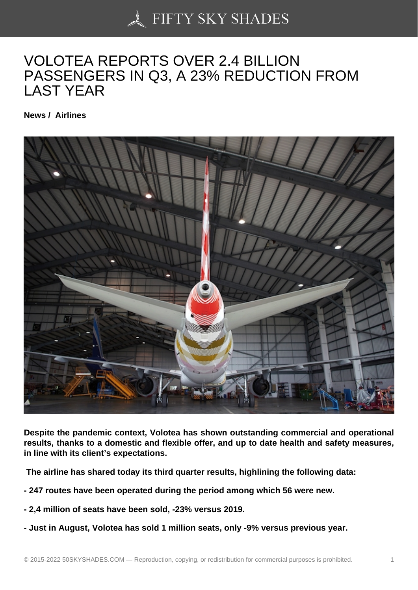## [VOLOTEA REPORTS](https://50skyshades.com) OVER 2.4 BILLION PASSENGERS IN Q3, A 23% REDUCTION FROM LAST YEAR

News / Airlines

Despite the pandemic context, Volotea has shown outstanding commercial and operational results, thanks to a domestic and flexible offer, and up to date health and safety measures, in line with its client's expectations.

The airline has shared today its third quarter results, highlining the following data:

- 247 routes have been operated during the period among which 56 were new.
- 2,4 million of seats have been sold, -23% versus 2019.
- Just in August, Volotea has sold 1 million seats, only -9% versus previous year.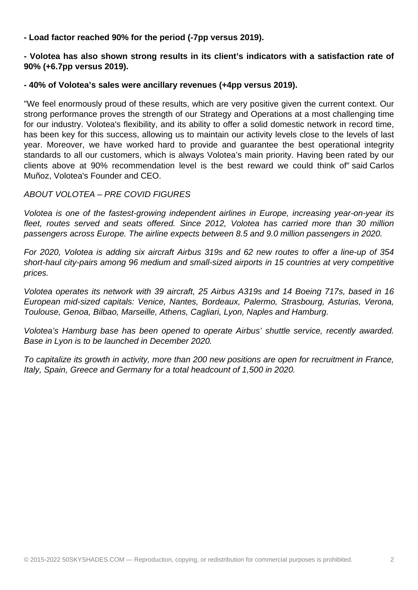**- Load factor reached 90% for the period (-7pp versus 2019).**

**- Volotea has also shown strong results in its client's indicators with a satisfaction rate of 90% (+6.7pp versus 2019).**

## **- 40% of Volotea's sales were ancillary revenues (+4pp versus 2019).**

"We feel enormously proud of these results, which are very positive given the current context. Our strong performance proves the strength of our Strategy and Operations at a most challenging time for our industry. Volotea's flexibility, and its ability to offer a solid domestic network in record time, has been key for this success, allowing us to maintain our activity levels close to the levels of last year. Moreover, we have worked hard to provide and guarantee the best operational integrity standards to all our customers, which is always Volotea's main priority. Having been rated by our clients above at 90% recommendation level is the best reward we could think of" said Carlos Muñoz, Volotea's Founder and CEO.

## ABOUT VOLOTEA – PRE COVID FIGURES

Volotea is one of the fastest-growing independent airlines in Europe, increasing year-on-year its fleet, routes served and seats offered. Since 2012, Volotea has carried more than 30 million passengers across Europe. The airline expects between 8.5 and 9.0 million passengers in 2020.

For 2020, Volotea is adding six aircraft Airbus 319s and 62 new routes to offer a line-up of 354 short-haul city-pairs among 96 medium and small-sized airports in 15 countries at very competitive prices.

Volotea operates its network with 39 aircraft, 25 Airbus A319s and 14 Boeing 717s, based in 16 European mid-sized capitals: Venice, Nantes, Bordeaux, Palermo, Strasbourg, Asturias, Verona, Toulouse, Genoa, Bilbao, Marseille, Athens, Cagliari, Lyon, Naples and Hamburg.

Volotea's Hamburg base has been opened to operate Airbus' shuttle service, recently awarded. Base in Lyon is to be launched in December 2020.

To capitalize its growth in activity, more than 200 new positions are open for recruitment in France, Italy, Spain, Greece and Germany for a total headcount of 1,500 in 2020.